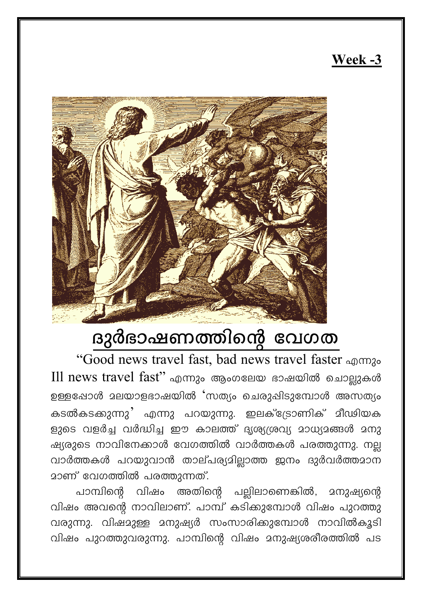## Week -3



## ദുർഭാഷണത്തിന്റെ വേഗത

"Good news travel fast, bad news travel faster എന്നും Ill news travel fast" എന്നും ആംഗലേയ ഭാഷയിൽ ചൊല്ലുകൾ ഉള്ളപ്പോൾ മലയാളഭാഷയിൽ 'സത്യം ചെരുഷിടുമ്പോൾ അസത്യം കടൽകടക്കുന്നു' എന്നു പറയുന്നു. ഇലക്ട്രോണിക് മീഢിയക ളുടെ വളർച്ച വർദ്ധിച്ച ഈ കാലത്ത് ദൃശ്യശ്രവ്യ മാധ്യമങ്ങൾ മനു ഷ്യരുടെ നാവിനേക്കാൾ വേഗത്തിൽ വാർത്തകൾ പരത്തുന്നു. നല്ല വാർത്തകൾ പറയുവാൻ താല്പര്യമില്ലാത്ത ജനം ദുർവർത്തമാന <u>മാണ് വേഗത്തിൽ പരത്തുന്നത്.</u>

പാമ്പിന്റെ വിഷം അതിന്റെ പല്ലിലാണെങ്കിൽ, മനുഷ്യന്റെ വിഷം അവന്റെ നാവിലാണ്. പാമ്പ് കടിക്കുമ്പോൾ വിഷം പുറത്തു വരുന്നു. വിഷമുള്ള മനുഷ്യർ സംസാരിക്കുമ്പോൾ നാവിൽകൂടി വിഷം പുറത്തുവരുന്നു. പാമ്പിന്റെ വിഷം മനുഷ്യശരീരത്തിൽ പട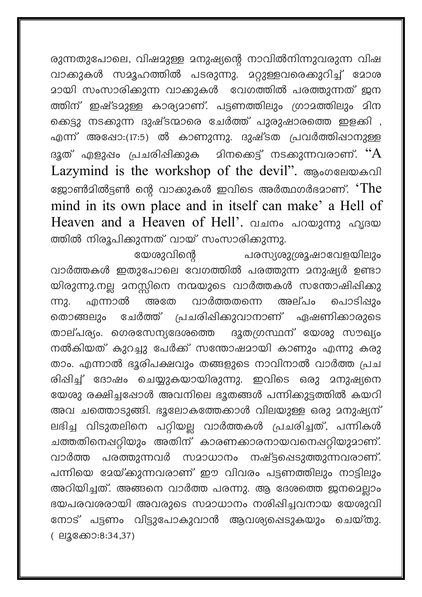രുന്നതുപോലെ, വിഷമുള്ള മനുഷ്യന്റെ നാവിൽനിന്നുവരുന്ന വിഷ വാക്കുകൾ സമൂഹത്തിൽ പടരുന്നു. മറ്റുള്ളവരെക്കുറിച്ച് മോശ <u>മായി സംസാരിക്കുന്ന വാകുുകൾ വേഗത്തിൽ പരത്തുന്നത് ജന</u> ത്തിന് ഇഷ്ടമുള്ള കാര്യമാണ്. പട്ടണത്തിലും ഗ്രാമത്തിലും മിന ക്കെട്ടു നടക്കുന്ന ദുഷ്ടന്മാരെ ചേർത്ത് പുരുഷാരത്തെ ഇളക്കി , എന്ന് അഷോ:(17:5) ൽ കാണുന്നു. ദുഷ്ടത പ്രവർത്തിഷാനുള്ള മിനക്കെട്ട് നടക്കുന്നവരാണ്.  $\lq\lq \rA$ ദുത് എളുഷം പ്രചരിഷിക്കുക Lazymind is the workshop of the devil". ആംഗലേയകവി ജോൺമിൽട്ടൺ ന്റെ വാക്കുകൾ ഇവിടെ അർത്ഥഗർഭമാണ്. ' $\operatorname{The}$ mind in its own place and in itself can make' a Hell of Heaven and a Heaven of Hell'. വചനം പറയുന്നു ഹൃദയ ത്തിൽ നിരൂപിക്കുന്നത് വായ് സംസാരിക്കുന്നു.

യേശുവിന്റെ പരസ്യശുശ്രൂഷാവേളയിലും വാർത്തകൾ ഇതുപോലെ വേഗത്തിൽ പരത്തുന്ന മനുഷ്യർ ഉണ്ടാ യിരുന്നു.നല്ല മനസ്സിനെ നന്മയുടെ വാർത്തകൾ സന്തോഷിഷിക്കു വാർത്തതന്നെ ൶ന്നാൽ അതേ അല്പം ചൊടിഷും m<sub>2</sub>. തൊങ്ങലും ചേർത്ത് പ്രചരിഷിക്കുവാനാണ് ഏഷണിക്കാരുടെ താല്പര്യം. ഗെരസേന്യദേശത്തെ ദൂതഗ്രസ്ഥന് യേശു സൗഖ്യം നൽകിയത് കുറച്ചു പേർക്ക് സന്തോഷമായി കാണും എന്നു കരു താം. എന്നാൽ ഭൂരിപക്ഷവും തങ്ങളുടെ നാവിനാൽ വാർത്ത പ്രച രിഷിച്ച് ദോഷം ചെയ്യുകയായിരുന്നു. ഇവിടെ ഒരു മനുഷ്യനെ യേശു രക്ഷിച്ചപ്പോൾ അവനിലെ ഭൂതങ്ങൾ പന്നിക്കുട്ടത്തിൽ കയറി അവ ചത്തൊടുങ്ങി. ഭൂലോകത്തേക്കാൾ വിലയുള്ള ഒരു മനുഷ്യന് ലഭിച്ച വിടുതലിനെ പറ്റിയല്ല വാർത്തകൾ പ്രചരിച്ചത്, പന്നികൾ ചത്തതിനെഷറ്റിയും അതിന് കാരണക്കാരനായവനെഷറ്റിയുമാണ്. പരത്തുന്നവർ സമാധാനം നഷ്ട്ടപ്പെടുത്തുന്നവരാണ്. വാർത്ത പന്നിയെ ദേയ്ക്കുന്നവരാണ് ഈ വിവരം പട്ടണത്തിലും നാട്ടിലും അറിയിച്ചത്. അങ്ങനെ വാർത്ത പരന്നു. ആ ദേശത്തെ ജനമെല്ലാം ഭയപരവശരായി അവരുടെ സമാധാനം നശിഷിച്ചവനായ യേശുവി നോട് പട്ടണം വിട്ടുപോകുവാൻ ആവശ്യപ്പെടുകയും ചെയ്തു. (ലൂക്കോ:8:34,37)